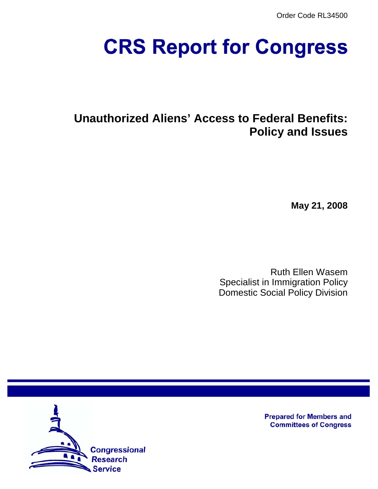Order Code RL34500

# **CRS Report for Congress**

# **Unauthorized Aliens' Access to Federal Benefits: Policy and Issues**

**May 21, 2008**

Ruth Ellen Wasem Specialist in Immigration Policy Domestic Social Policy Division



**Prepared for Members and Committees of Congress**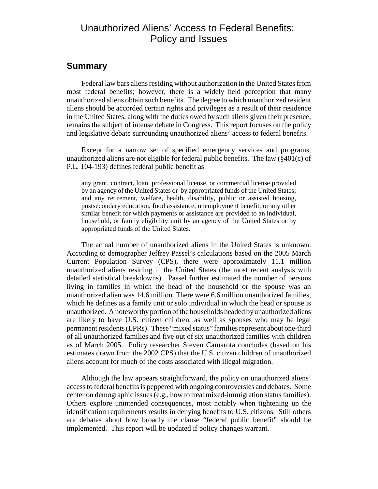## Unauthorized Aliens' Access to Federal Benefits: Policy and Issues

## **Summary**

Federal law bars aliens residing without authorization in the United States from most federal benefits; however, there is a widely held perception that many unauthorized aliens obtain such benefits. The degree to which unauthorized resident aliens should be accorded certain rights and privileges as a result of their residence in the United States, along with the duties owed by such aliens given their presence, remains the subject of intense debate in Congress. This report focuses on the policy and legislative debate surrounding unauthorized aliens' access to federal benefits.

Except for a narrow set of specified emergency services and programs, unauthorized aliens are not eligible for federal public benefits. The law (§401(c) of P.L. 104-193) defines federal public benefit as

any grant, contract, loan, professional license, or commercial license provided by an agency of the United States or by appropriated funds of the United States; and any retirement, welfare, health, disability, public or assisted housing, postsecondary education, food assistance, unemployment benefit, or any other similar benefit for which payments or assistance are provided to an individual, household, or family eligibility unit by an agency of the United States or by appropriated funds of the United States.

The actual number of unauthorized aliens in the United States is unknown. According to demographer Jeffrey Passel's calculations based on the 2005 March Current Population Survey (CPS), there were approximately 11.1 million unauthorized aliens residing in the United States (the most recent analysis with detailed statistical breakdowns). Passel further estimated the number of persons living in families in which the head of the household or the spouse was an unauthorized alien was 14.6 million. There were 6.6 million unauthorized families, which he defines as a family unit or solo individual in which the head or spouse is unauthorized. A noteworthy portion of the households headed by unauthorized aliens are likely to have U.S. citizen children, as well as spouses who may be legal permanent residents (LPRs). These "mixed status" families represent about one-third of all unauthorized families and five out of six unauthorized families with children as of March 2005. Policy researcher Steven Camarota concludes (based on his estimates drawn from the 2002 CPS) that the U.S. citizen children of unauthorized aliens account for much of the costs associated with illegal migration.

Although the law appears straightforward, the policy on unauthorized aliens' access to federal benefits is peppered with ongoing controversies and debates. Some center on demographic issues (e.g., how to treat mixed-immigration status families). Others explore unintended consequences, most notably when tightening up the identification requirements results in denying benefits to U.S. citizens. Still others are debates about how broadly the clause "federal public benefit" should be implemented. This report will be updated if policy changes warrant.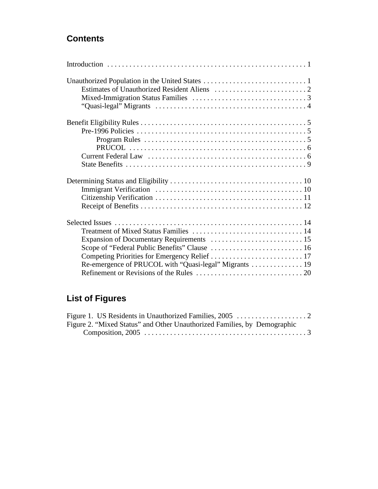## **Contents**

| Re-emergence of PRUCOL with "Quasi-legal" Migrants  19 |
|--------------------------------------------------------|
|                                                        |

# **List of Figures**

| Figure 2. "Mixed Status" and Other Unauthorized Families, by Demographic |  |
|--------------------------------------------------------------------------|--|
|                                                                          |  |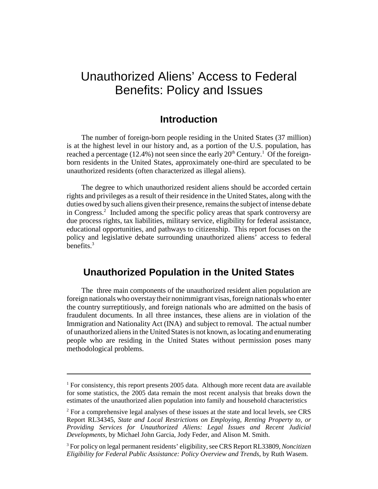## Unauthorized Aliens' Access to Federal Benefits: Policy and Issues

## **Introduction**

The number of foreign-born people residing in the United States (37 million) is at the highest level in our history and, as a portion of the U.S. population, has reached a percentage (12.4%) not seen since the early  $20<sup>th</sup>$  Century.<sup>1</sup> Of the foreignborn residents in the United States, approximately one-third are speculated to be unauthorized residents (often characterized as illegal aliens).

The degree to which unauthorized resident aliens should be accorded certain rights and privileges as a result of their residence in the United States, along with the duties owed by such aliens given their presence, remains the subject of intense debate in Congress.<sup>2</sup> Included among the specific policy areas that spark controversy are due process rights, tax liabilities, military service, eligibility for federal assistance, educational opportunities, and pathways to citizenship. This report focuses on the policy and legislative debate surrounding unauthorized aliens' access to federal benefits. $3$ 

## **Unauthorized Population in the United States**

The three main components of the unauthorized resident alien population are foreign nationals who overstay their nonimmigrant visas, foreign nationals who enter the country surreptitiously, and foreign nationals who are admitted on the basis of fraudulent documents. In all three instances, these aliens are in violation of the Immigration and Nationality Act (INA) and subject to removal. The actual number of unauthorized aliens in the United States is not known, as locating and enumerating people who are residing in the United States without permission poses many methodological problems.

<sup>&</sup>lt;sup>1</sup> For consistency, this report presents 2005 data. Although more recent data are available for some statistics, the 2005 data remain the most recent analysis that breaks down the estimates of the unauthorized alien population into family and household characteristics

 $2^2$  For a comprehensive legal analyses of these issues at the state and local levels, see CRS Report RL34345, *State and Local Restrictions on Employing, Renting Property to, or Providing Services for Unauthorized Aliens: Legal Issues and Recent Judicial Developments*, by Michael John Garcia, Jody Feder, and Alison M. Smith.

<sup>3</sup> For policy on legal permanent residents' eligibility, see CRS Report RL33809, *Noncitizen Eligibility for Federal Public Assistance: Policy Overview and Trends*, by Ruth Wasem.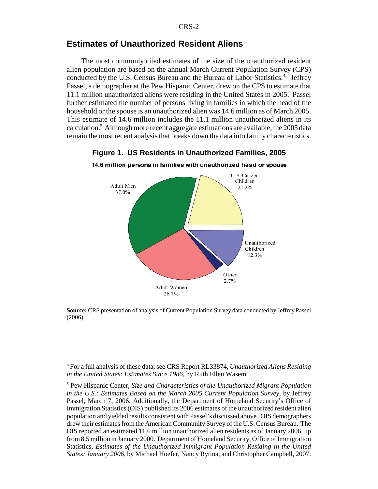## **Estimates of Unauthorized Resident Aliens**

The most commonly cited estimates of the size of the unauthorized resident alien population are based on the annual March Current Population Survey (CPS) conducted by the U.S. Census Bureau and the Bureau of Labor Statistics.<sup>4</sup> Jeffrey Passel, a demographer at the Pew Hispanic Center, drew on the CPS to estimate that 11.1 million unauthorized aliens were residing in the United States in 2005. Passel further estimated the number of persons living in families in which the head of the household or the spouse is an unauthorized alien was 14.6 million as of March 2005. This estimate of 14.6 million includes the 11.1 million unauthorized aliens in its calculation.<sup>5</sup> Although more recent aggregate estimations are available, the 2005 data remain the most recent analysis that breaks down the data into family characteristics.



**Figure 1. US Residents in Unauthorized Families, 2005**

14.6 million persons in families with unauthorized head or spouse

**Source:** CRS presentation of analysis of Current Population Survey data conducted by Jeffrey Passel (2006).

<sup>4</sup> For a full analysis of these data, see CRS Report RL33874, *Unauthorized Aliens Residing in the United States: Estimates Since 1986*, by Ruth Ellen Wasem.

<sup>5</sup> Pew Hispanic Center, *Size and Characteristics of the Unauthorized Migrant Population in the U.S.: Estimates Based on the March 2005 Current Population Survey,* by Jeffrey Passel, March 7, 2006. Additionally, the Department of Homeland Security's Office of Immigration Statistics (OIS) published its 2006 estimates of the unauthorized resident alien population and yielded results consistent with Passel's discussed above. OIS demographers drew their estimates from the American Community Survey of the U.S. Census Bureau. The OIS reported an estimated 11.6 million unauthorized alien residents as of January 2006, up from 8.5 million in January 2000. Department of Homeland Security, Office of Immigration Statistics, *Estimates of the Unauthorized Immigrant Population Residing in the United States: January 2006*, by Michael Hoefer, Nancy Rytina, and Christopher Campbell, 2007.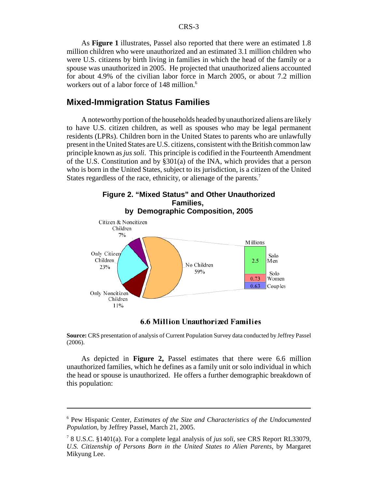As **Figure 1** illustrates, Passel also reported that there were an estimated 1.8 million children who were unauthorized and an estimated 3.1 million children who were U.S. citizens by birth living in families in which the head of the family or a spouse was unauthorized in 2005. He projected that unauthorized aliens accounted for about 4.9% of the civilian labor force in March 2005, or about 7.2 million workers out of a labor force of 148 million.<sup>6</sup>

## **Mixed-Immigration Status Families**

A noteworthy portion of the households headed by unauthorized aliens are likely to have U.S. citizen children, as well as spouses who may be legal permanent residents (LPRs). Children born in the United States to parents who are unlawfully present in the United States are U.S. citizens, consistent with the British common law principle known as *jus soli*. This principle is codified in the Fourteenth Amendment of the U.S. Constitution and by §301(a) of the INA, which provides that a person who is born in the United States, subject to its jurisdiction, is a citizen of the United States regardless of the race, ethnicity, or alienage of the parents.<sup>7</sup>





#### **6.6 Million Unauthorized Families**

**Source:** CRS presentation of analysis of Current Population Survey data conducted by Jeffrey Passel (2006).

As depicted in **Figure 2,** Passel estimates that there were 6.6 million unauthorized families, which he defines as a family unit or solo individual in which the head or spouse is unauthorized. He offers a further demographic breakdown of this population:

<sup>6</sup> Pew Hispanic Center, *Estimates of the Size and Characteristics of the Undocumented Population*, by Jeffrey Passel, March 21, 2005.

<sup>7</sup> 8 U.S.C. §1401(a). For a complete legal analysis of *jus soli*, see CRS Report RL33079, *U.S. Citizenship of Persons Born in the United States to Alien Parents*, by Margaret Mikyung Lee.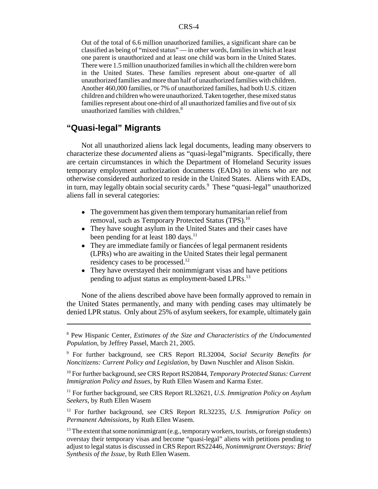Out of the total of 6.6 million unauthorized families, a significant share can be classified as being of "mixed status" — in other words, families in which at least one parent is unauthorized and at least one child was born in the United States. There were 1.5 million unauthorized families in which all the children were born in the United States. These families represent about one-quarter of all unauthorized families and more than half of unauthorized families with children. Another 460,000 families, or 7% of unauthorized families, had both U.S. citizen children and children who were unauthorized. Taken together, these mixed status families represent about one-third of all unauthorized families and five out of six unauthorized families with children.<sup>8</sup>

## **"Quasi-legal" Migrants**

Not all unauthorized aliens lack legal documents, leading many observers to characterize these *documented* aliens as "quasi-legal"migrants. Specifically, there are certain circumstances in which the Department of Homeland Security issues temporary employment authorization documents (EADs) to aliens who are not otherwise considered authorized to reside in the United States. Aliens with EADs, in turn, may legally obtain social security cards.<sup>9</sup> These "quasi-legal" unauthorized aliens fall in several categories:

- The government has given them temporary humanitarian relief from removal, such as Temporary Protected Status (TPS).<sup>10</sup>
- They have sought asylum in the United States and their cases have been pending for at least  $180 \text{ days}$ .<sup>11</sup>
- They are immediate family or fiancées of legal permanent residents (LPRs) who are awaiting in the United States their legal permanent residency cases to be processed.<sup>12</sup>
- They have overstayed their nonimmigrant visas and have petitions pending to adjust status as employment-based LPRs.<sup>13</sup>

None of the aliens described above have been formally approved to remain in the United States permanently, and many with pending cases may ultimately be denied LPR status. Only about 25% of asylum seekers, for example, ultimately gain

<sup>8</sup> Pew Hispanic Center, *Estimates of the Size and Characteristics of the Undocumented Population*, by Jeffrey Passel, March 21, 2005.

<sup>9</sup> For further background, see CRS Report RL32004, *Social Security Benefits for Noncitizens: Current Policy and Legislation*, by Dawn Nuschler and Alison Siskin.

<sup>10</sup> For further background, see CRS Report RS20844, *Temporary Protected Status: Current Immigration Policy and Issues*, by Ruth Ellen Wasem and Karma Ester.

<sup>11</sup> For further background, see CRS Report RL32621, *U.S. Immigration Policy on Asylum Seekers*, by Ruth Ellen Wasem

<sup>12</sup> For further background, see CRS Report RL32235, *U.S. Immigration Policy on Permanent Admissions*, by Ruth Ellen Wasem.

 $13$  The extent that some nonimmigrant (e.g., temporary workers, tourists, or foreign students) overstay their temporary visas and become "quasi-legal" aliens with petitions pending to adjust to legal status is discussed in CRS Report RS22446, *Nonimmigrant Overstays: Brief Synthesis of the Issue*, by Ruth Ellen Wasem.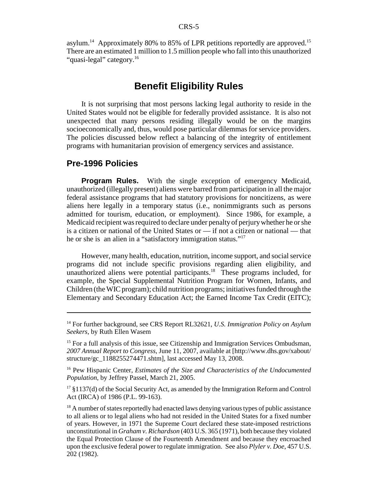asylum.<sup>14</sup> Approximately 80% to 85% of LPR petitions reportedly are approved.<sup>15</sup> There are an estimated 1 million to 1.5 million people who fall into this unauthorized "quasi-legal" category.<sup>16</sup>

## **Benefit Eligibility Rules**

It is not surprising that most persons lacking legal authority to reside in the United States would not be eligible for federally provided assistance. It is also not unexpected that many persons residing illegally would be on the margins socioeconomically and, thus, would pose particular dilemmas for service providers. The policies discussed below reflect a balancing of the integrity of entitlement programs with humanitarian provision of emergency services and assistance.

#### **Pre-1996 Policies**

**Program Rules.** With the single exception of emergency Medicaid, unauthorized (illegally present) aliens were barred from participation in all the major federal assistance programs that had statutory provisions for noncitizens, as were aliens here legally in a temporary status (i.e., nonimmigrants such as persons admitted for tourism, education, or employment). Since 1986, for example, a Medicaid recipient was required to declare under penalty of perjury whether he or she is a citizen or national of the United States or — if not a citizen or national — that he or she is an alien in a "satisfactory immigration status."<sup>17</sup>

However, many health, education, nutrition, income support, and social service programs did not include specific provisions regarding alien eligibility, and unauthorized aliens were potential participants.<sup>18</sup> These programs included, for example, the Special Supplemental Nutrition Program for Women, Infants, and Children (the WIC program); child nutrition programs; initiatives funded through the Elementary and Secondary Education Act; the Earned Income Tax Credit (EITC);

 $17 \text{ }\frac{17}{3}$  1137(d) of the Social Security Act, as amended by the Immigration Reform and Control Act (IRCA) of 1986 (P.L. 99-163).

<sup>14</sup> For further background, see CRS Report RL32621, *U.S. Immigration Policy on Asylum Seekers*, by Ruth Ellen Wasem

<sup>&</sup>lt;sup>15</sup> For a full analysis of this issue, see Citizenship and Immigration Services Ombudsman, *2007 Annual Report to Congress*, June 11, 2007, available at [http://www.dhs.gov/xabout/ structure/gc\_1188255274471.shtm], last accessed May 13, 2008.

<sup>16</sup> Pew Hispanic Center, *Estimates of the Size and Characteristics of the Undocumented Population*, by Jeffrey Passel, March 21, 2005.

 $18$  A number of states reportedly had enacted laws denying various types of public assistance to all aliens or to legal aliens who had not resided in the United States for a fixed number of years. However, in 1971 the Supreme Court declared these state-imposed restrictions unconstitutional in *Graham v. Richardson* (403 U.S. 365 (1971), both because they violated the Equal Protection Clause of the Fourteenth Amendment and because they encroached upon the exclusive federal power to regulate immigration. See also *Plyler v. Doe*, 457 U.S. 202 (1982).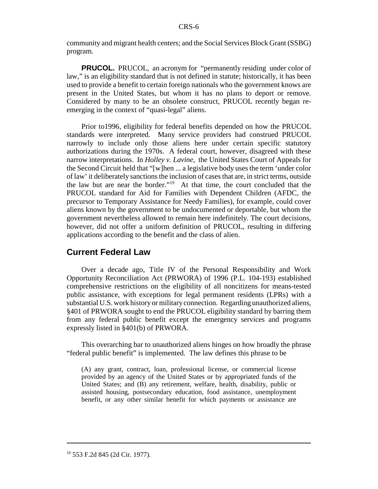community and migrant health centers; and the Social Services Block Grant (SSBG) program.

**PRUCOL.** PRUCOL, an acronym for "permanently residing under color of law," is an eligibility standard that is not defined in statute; historically, it has been used to provide a benefit to certain foreign nationals who the government knows are present in the United States, but whom it has no plans to deport or remove. Considered by many to be an obsolete construct, PRUCOL recently began reemerging in the context of "quasi-legal" aliens.

Prior to1996, eligibility for federal benefits depended on how the PRUCOL standards were interpreted. Many service providers had construed PRUCOL narrowly to include only those aliens here under certain specific statutory authorizations during the 1970s. A federal court, however, disagreed with these narrow interpretations. In *Holley v. Lavine*, the United States Court of Appeals for the Second Circuit held that "[w]hen ... a legislative body uses the term 'under color of law' it deliberately sanctions the inclusion of cases that are, in strict terms, outside the law but are near the border."19 At that time, the court concluded that the PRUCOL standard for Aid for Families with Dependent Children (AFDC, the precursor to Temporary Assistance for Needy Families), for example, could cover aliens known by the government to be undocumented or deportable, but whom the government nevertheless allowed to remain here indefinitely. The court decisions, however, did not offer a uniform definition of PRUCOL, resulting in differing applications according to the benefit and the class of alien.

## **Current Federal Law**

Over a decade ago, Title IV of the Personal Responsibility and Work Opportunity Reconciliation Act (PRWORA) of 1996 (P.L. 104-193) established comprehensive restrictions on the eligibility of all noncitizens for means-tested public assistance, with exceptions for legal permanent residents (LPRs) with a substantial U.S. work history or military connection. Regarding unauthorized aliens, §401 of PRWORA sought to end the PRUCOL eligibility standard by barring them from any federal public benefit except the emergency services and programs expressly listed in §401(b) of PRWORA.

This overarching bar to unauthorized aliens hinges on how broadly the phrase "federal public benefit" is implemented. The law defines this phrase to be

(A) any grant, contract, loan, professional license, or commercial license provided by an agency of the United States or by appropriated funds of the United States; and (B) any retirement, welfare, health, disability, public or assisted housing, postsecondary education, food assistance, unemployment benefit, or any other similar benefit for which payments or assistance are

<sup>19 553</sup> F.2d 845 (2d Cir. 1977).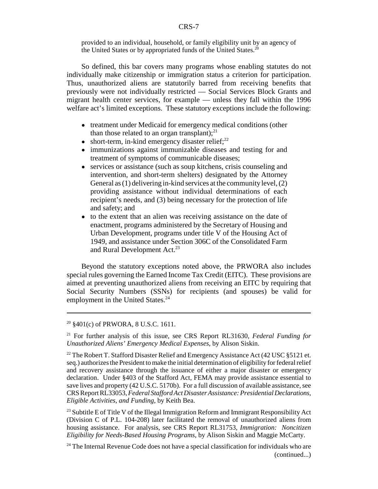provided to an individual, household, or family eligibility unit by an agency of the United States or by appropriated funds of the United States.<sup>20</sup>

So defined, this bar covers many programs whose enabling statutes do not individually make citizenship or immigration status a criterion for participation. Thus, unauthorized aliens are statutorily barred from receiving benefits that previously were not individually restricted — Social Services Block Grants and migrant health center services, for example — unless they fall within the 1996 welfare act's limited exceptions. These statutory exceptions include the following:

- treatment under Medicaid for emergency medical conditions (other than those related to an organ transplant); $^{21}$
- $\bullet$  short-term, in-kind emergency disaster relief;<sup>22</sup>
- immunizations against immunizable diseases and testing for and treatment of symptoms of communicable diseases;
- services or assistance (such as soup kitchens, crisis counseling and intervention, and short-term shelters) designated by the Attorney General as (1) delivering in-kind services at the community level, (2) providing assistance without individual determinations of each recipient's needs, and (3) being necessary for the protection of life and safety; and
- to the extent that an alien was receiving assistance on the date of enactment, programs administered by the Secretary of Housing and Urban Development, programs under title V of the Housing Act of 1949, and assistance under Section 306C of the Consolidated Farm and Rural Development Act.<sup>23</sup>

Beyond the statutory exceptions noted above, the PRWORA also includes special rules governing the Earned Income Tax Credit (EITC). These provisions are aimed at preventing unauthorized aliens from receiving an EITC by requiring that Social Security Numbers (SSNs) for recipients (and spouses) be valid for employment in the United States.<sup>24</sup>

<sup>20 §401(</sup>c) of PRWORA, 8 U.S.C. 1611.

<sup>21</sup> For further analysis of this issue, see CRS Report RL31630, *Federal Funding for Unauthorized Aliens' Emergency Medical Expenses*, by Alison Siskin.

<sup>&</sup>lt;sup>22</sup> The Robert T. Stafford Disaster Relief and Emergency Assistance Act (42 USC §5121 et. seq.) authorizes the President to make the initial determination of eligibility for federal relief and recovery assistance through the issuance of either a major disaster or emergency declaration. Under §403 of the Stafford Act, FEMA may provide assistance essential to save lives and property (42 U.S.C. 5170b). For a full discussion of available assistance, see CRS Report RL33053, *Federal Stafford Act Disaster Assistance: Presidential Declarations, Eligible Activities, and Funding*, by Keith Bea.

<sup>&</sup>lt;sup>23</sup> Subtitle E of Title V of the Illegal Immigration Reform and Immigrant Responsibility Act (Division C of P.L. 104-208) later facilitated the removal of unauthorized aliens from housing assistance. For analysis, see CRS Report RL31753, *Immigration: Noncitizen Eligibility for Needs-Based Housing Programs*, by Alison Siskin and Maggie McCarty.

 $24$  The Internal Revenue Code does not have a special classification for individuals who are (continued...)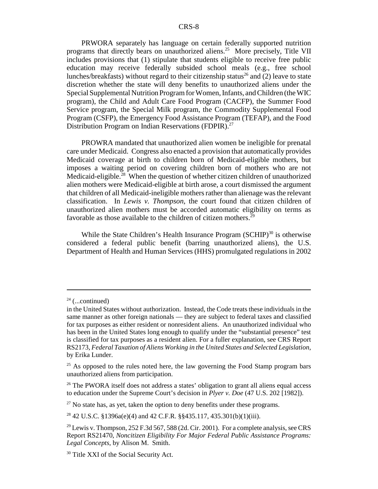PRWORA separately has language on certain federally supported nutrition programs that directly bears on unauthorized aliens.25 More precisely, Title VII includes provisions that (1) stipulate that students eligible to receive free public education may receive federally subsided school meals (e.g., free school lunches/breakfasts) without regard to their citizenship status<sup>26</sup> and (2) leave to state discretion whether the state will deny benefits to unauthorized aliens under the Special Supplemental Nutrition Program for Women, Infants, and Children (the WIC program), the Child and Adult Care Food Program (CACFP), the Summer Food Service program, the Special Milk program, the Commodity Supplemental Food Program (CSFP), the Emergency Food Assistance Program (TEFAP), and the Food Distribution Program on Indian Reservations (FDPIR).<sup>27</sup>

PROWRA mandated that unauthorized alien women be ineligible for prenatal care under Medicaid. Congress also enacted a provision that automatically provides Medicaid coverage at birth to children born of Medicaid-eligible mothers, but imposes a waiting period on covering children born of mothers who are not Medicaid-eligible.<sup>28</sup> When the question of whether citizen children of unauthorized alien mothers were Medicaid-eligible at birth arose, a court dismissed the argument that children of all Medicaid-ineligible mothers rather than alienage was the relevant classification. In *Lewis v. Thompson*, the court found that citizen children of unauthorized alien mothers must be accorded automatic eligibility on terms as favorable as those available to the children of citizen mothers.<sup>29</sup>

While the State Children's Health Insurance Program  $(SCHIP)^{30}$  is otherwise considered a federal public benefit (barring unauthorized aliens), the U.S. Department of Health and Human Services (HHS) promulgated regulations in 2002

 $27$  No state has, as yet, taken the option to deny benefits under these programs.

<sup>28</sup> 42 U.S.C. §1396a(e)(4) and 42 C.F.R. §§435.117, 435.301(b)(1)(iii).

 $24$  (...continued)

in the United States without authorization. Instead, the Code treats these individuals in the same manner as other foreign nationals — they are subject to federal taxes and classified for tax purposes as either resident or nonresident aliens. An unauthorized individual who has been in the United States long enough to qualify under the "substantial presence" test is classified for tax purposes as a resident alien. For a fuller explanation, see CRS Report RS2173, *Federal Taxation of Aliens Working in the United States and Selected Legislation*, by Erika Lunder.

 $25$  As opposed to the rules noted here, the law governing the Food Stamp program bars unauthorized aliens from participation.

<sup>&</sup>lt;sup>26</sup> The PWORA itself does not address a states' obligation to grant all aliens equal access to education under the Supreme Court's decision in *Plyer v. Doe* (47 U.S. 202 [1982]).

<sup>&</sup>lt;sup>29</sup> Lewis v. Thompson, 252 F.3d 567, 588 (2d. Cir. 2001). For a complete analysis, see CRS Report RS21470, *Noncitizen Eligibility For Major Federal Public Assistance Programs: Legal Concepts*, by Alison M. Smith.

<sup>&</sup>lt;sup>30</sup> Title XXI of the Social Security Act.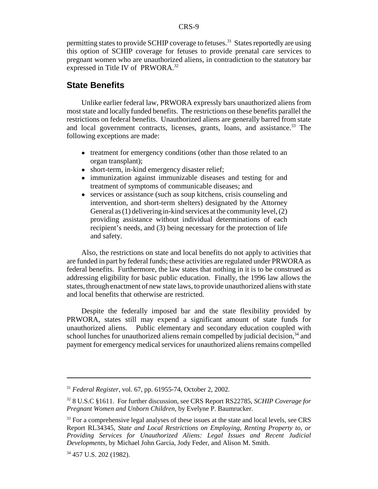permitting states to provide SCHIP coverage to fetuses.<sup>31</sup> States reportedly are using this option of SCHIP coverage for fetuses to provide prenatal care services to pregnant women who are unauthorized aliens, in contradiction to the statutory bar expressed in Title IV of PRWORA.<sup>32</sup>

## **State Benefits**

Unlike earlier federal law, PRWORA expressly bars unauthorized aliens from most state and locally funded benefits. The restrictions on these benefits parallel the restrictions on federal benefits. Unauthorized aliens are generally barred from state and local government contracts, licenses, grants, loans, and assistance.<sup>33</sup> The following exceptions are made:

- treatment for emergency conditions (other than those related to an organ transplant);
- short-term, in-kind emergency disaster relief;
- immunization against immunizable diseases and testing for and treatment of symptoms of communicable diseases; and
- services or assistance (such as soup kitchens, crisis counseling and intervention, and short-term shelters) designated by the Attorney General as (1) delivering in-kind services at the community level, (2) providing assistance without individual determinations of each recipient's needs, and (3) being necessary for the protection of life and safety.

Also, the restrictions on state and local benefits do not apply to activities that are funded in part by federal funds; these activities are regulated under PRWORA as federal benefits. Furthermore, the law states that nothing in it is to be construed as addressing eligibility for basic public education. Finally, the 1996 law allows the states, through enactment of new state laws, to provide unauthorized aliens with state and local benefits that otherwise are restricted.

Despite the federally imposed bar and the state flexibility provided by PRWORA, states still may expend a significant amount of state funds for unauthorized aliens. Public elementary and secondary education coupled with school lunches for unauthorized aliens remain compelled by judicial decision, $34$  and payment for emergency medical services for unauthorized aliens remains compelled

<sup>31</sup> *Federal Register*, vol. 67, pp. 61955-74, October 2, 2002.

<sup>32 8</sup> U.S.C §1611. For further discussion, see CRS Report RS22785, *SCHIP Coverage for Pregnant Women and Unborn Children*, by Evelyne P. Baumrucker.

<sup>&</sup>lt;sup>33</sup> For a comprehensive legal analyses of these issues at the state and local levels, see CRS Report RL34345, *State and Local Restrictions on Employing, Renting Property to, or Providing Services for Unauthorized Aliens: Legal Issues and Recent Judicial Developments*, by Michael John Garcia, Jody Feder, and Alison M. Smith.

<sup>34 457</sup> U.S. 202 (1982).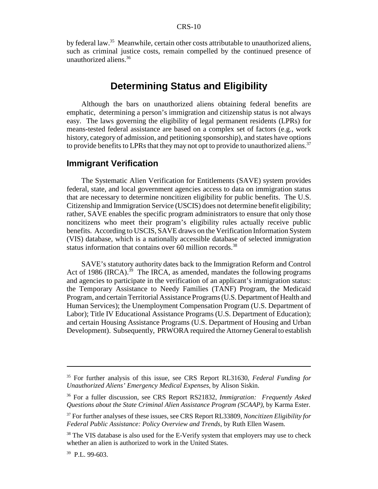by federal law.35 Meanwhile, certain other costs attributable to unauthorized aliens, such as criminal justice costs, remain compelled by the continued presence of unauthorized aliens.36

## **Determining Status and Eligibility**

Although the bars on unauthorized aliens obtaining federal benefits are emphatic, determining a person's immigration and citizenship status is not always easy. The laws governing the eligibility of legal permanent residents (LPRs) for means-tested federal assistance are based on a complex set of factors (e.g., work history, category of admission, and petitioning sponsorship), and states have options to provide benefits to LPRs that they may not opt to provide to unauthorized aliens.<sup>37</sup>

## **Immigrant Verification**

The Systematic Alien Verification for Entitlements (SAVE) system provides federal, state, and local government agencies access to data on immigration status that are necessary to determine noncitizen eligibility for public benefits. The U.S. Citizenship and Immigration Service (USCIS) does not determine benefit eligibility; rather, SAVE enables the specific program administrators to ensure that only those noncitizens who meet their program's eligibility rules actually receive public benefits. According to USCIS, SAVE draws on the Verification Information System (VIS) database, which is a nationally accessible database of selected immigration status information that contains over 60 million records.<sup>38</sup>

SAVE's statutory authority dates back to the Immigration Reform and Control Act of 1986 (IRCA).<sup>39</sup> The IRCA, as amended, mandates the following programs and agencies to participate in the verification of an applicant's immigration status: the Temporary Assistance to Needy Families (TANF) Program, the Medicaid Program, and certain Territorial Assistance Programs (U.S. Department of Health and Human Services); the Unemployment Compensation Program (U.S. Department of Labor); Title IV Educational Assistance Programs (U.S. Department of Education); and certain Housing Assistance Programs (U.S. Department of Housing and Urban Development). Subsequently, PRWORA required the Attorney General to establish

<sup>35</sup> For further analysis of this issue, see CRS Report RL31630, *Federal Funding for Unauthorized Aliens' Emergency Medical Expenses*, by Alison Siskin.

<sup>36</sup> For a fuller discussion, see CRS Report RS21832, *Immigration: Frequently Asked Questions about the State Criminal Alien Assistance Program (SCAAP)*, by Karma Ester.

<sup>37</sup> For further analyses of these issues, see CRS Report RL33809, *Noncitizen Eligibility for Federal Public Assistance: Policy Overview and Trends*, by Ruth Ellen Wasem.

<sup>&</sup>lt;sup>38</sup> The VIS database is also used for the E-Verify system that employers may use to check whether an alien is authorized to work in the United States.

<sup>39</sup> P.L. 99-603.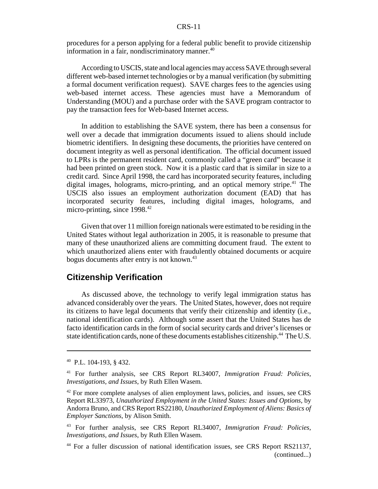#### CRS-11

procedures for a person applying for a federal public benefit to provide citizenship information in a fair, nondiscriminatory manner.<sup>40</sup>

According to USCIS, state and local agencies may access SAVE through several different web-based internet technologies or by a manual verification (by submitting a formal document verification request). SAVE charges fees to the agencies using web-based internet access. These agencies must have a Memorandum of Understanding (MOU) and a purchase order with the SAVE program contractor to pay the transaction fees for Web-based Internet access.

In addition to establishing the SAVE system, there has been a consensus for well over a decade that immigration documents issued to aliens should include biometric identifiers. In designing these documents, the priorities have centered on document integrity as well as personal identification. The official document issued to LPRs is the permanent resident card, commonly called a "green card" because it had been printed on green stock. Now it is a plastic card that is similar in size to a credit card. Since April 1998, the card has incorporated security features, including digital images, holograms, micro-printing, and an optical memory stripe.<sup>41</sup> The USCIS also issues an employment authorization document (EAD) that has incorporated security features, including digital images, holograms, and micro-printing, since  $1998<sup>42</sup>$ 

Given that over 11 million foreign nationals were estimated to be residing in the United States without legal authorization in 2005, it is reasonable to presume that many of these unauthorized aliens are committing document fraud. The extent to which unauthorized aliens enter with fraudulently obtained documents or acquire bogus documents after entry is not known.<sup>43</sup>

## **Citizenship Verification**

As discussed above, the technology to verify legal immigration status has advanced considerably over the years. The United States, however, does not require its citizens to have legal documents that verify their citizenship and identity (i.e., national identification cards). Although some assert that the United States has de facto identification cards in the form of social security cards and driver's licenses or state identification cards, none of these documents establishes citizenship.<sup>44</sup> The U.S.

<sup>40</sup> P.L. 104-193, § 432.

<sup>41</sup> For further analysis, see CRS Report RL34007, *Immigration Fraud: Policies, Investigations, and Issues*, by Ruth Ellen Wasem.

<sup>&</sup>lt;sup>42</sup> For more complete analyses of alien employment laws, policies, and issues, see CRS Report RL33973, *Unauthorized Employment in the United States: Issues and Options*, by Andorra Bruno, and CRS Report RS22180, *Unauthorized Employment of Aliens: Basics of Employer Sanctions*, by Alison Smith.

<sup>43</sup> For further analysis, see CRS Report RL34007, *Immigration Fraud: Policies, Investigations, and Issues*, by Ruth Ellen Wasem.

<sup>44</sup> For a fuller discussion of national identification issues, see CRS Report RS21137, (continued...)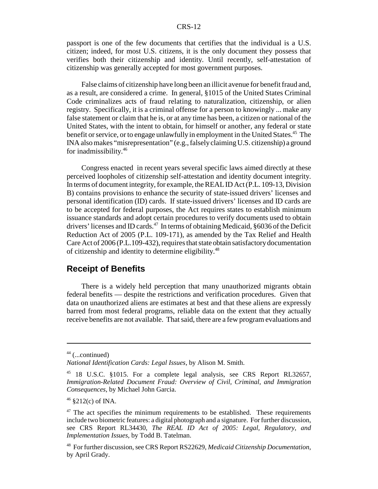passport is one of the few documents that certifies that the individual is a U.S. citizen; indeed, for most U.S. citizens, it is the only document they possess that verifies both their citizenship and identity. Until recently, self-attestation of citizenship was generally accepted for most government purposes.

False claims of citizenship have long been an illicit avenue for benefit fraud and, as a result, are considered a crime. In general, §1015 of the United States Criminal Code criminalizes acts of fraud relating to naturalization, citizenship, or alien registry. Specifically, it is a criminal offense for a person to knowingly ... make any false statement or claim that he is, or at any time has been, a citizen or national of the United States, with the intent to obtain, for himself or another, any federal or state benefit or service, or to engage unlawfully in employment in the United States.<sup>45</sup> The INA also makes "misrepresentation" (e.g., falsely claiming U.S. citizenship) a ground for inadmissibility.46

Congress enacted in recent years several specific laws aimed directly at these perceived loopholes of citizenship self-attestation and identity document integrity. In terms of document integrity, for example, the REAL ID Act (P.L. 109-13, Division B) contains provisions to enhance the security of state-issued drivers' licenses and personal identification (ID) cards. If state-issued drivers' licenses and ID cards are to be accepted for federal purposes, the Act requires states to establish minimum issuance standards and adopt certain procedures to verify documents used to obtain drivers' licenses and ID cards. $47$  In terms of obtaining Medicaid,  $§6036$  of the Deficit Reduction Act of 2005 (P.L. 109-171), as amended by the Tax Relief and Health Care Act of 2006 (P.L.109-432), requires that state obtain satisfactory documentation of citizenship and identity to determine eligibility.48

## **Receipt of Benefits**

There is a widely held perception that many unauthorized migrants obtain federal benefits — despite the restrictions and verification procedures. Given that data on unauthorized aliens are estimates at best and that these aliens are expressly barred from most federal programs, reliable data on the extent that they actually receive benefits are not available. That said, there are a few program evaluations and

 $44$  (...continued)

*National Identification Cards: Legal Issues*, by Alison M. Smith.

<sup>45 18</sup> U.S.C. §1015. For a complete legal analysis, see CRS Report RL32657, *Immigration-Related Document Fraud: Overview of Civil, Criminal, and Immigration Consequences*, by Michael John Garcia.

 $46$  §212(c) of INA.

 $47$  The act specifies the minimum requirements to be established. These requirements include two biometric features: a digital photograph and a signature. For further discussion, see CRS Report RL34430*, The REAL ID Act of 2005: Legal, Regulatory, and Implementation Issues*, by Todd B. Tatelman.

<sup>48</sup> For further discussion, see CRS Report RS22629, *Medicaid Citizenship Documentation*, by April Grady.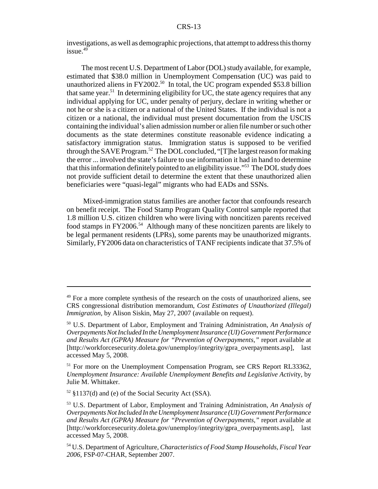investigations, as well as demographic projections, that attempt to address this thorny  $i$ ssue. $49$ 

The most recent U.S. Department of Labor (DOL) study available, for example, estimated that \$38.0 million in Unemployment Compensation (UC) was paid to unauthorized aliens in FY2002.<sup>50</sup> In total, the UC program expended \$53.8 billion that same year.<sup>51</sup> In determining eligibility for UC, the state agency requires that any individual applying for UC, under penalty of perjury, declare in writing whether or not he or she is a citizen or a national of the United States. If the individual is not a citizen or a national, the individual must present documentation from the USCIS containing the individual's alien admission number or alien file number or such other documents as the state determines constitute reasonable evidence indicating a satisfactory immigration status. Immigration status is supposed to be verified through the SAVE Program.<sup>52</sup> The DOL concluded, "[T]he largest reason for making the error ... involved the state's failure to use information it had in hand to determine that this information definitely pointed to an eligibility issue."53 The DOL study does not provide sufficient detail to determine the extent that these unauthorized alien beneficiaries were "quasi-legal" migrants who had EADs and SSNs.

 Mixed-immigration status families are another factor that confounds research on benefit receipt. The Food Stamp Program Quality Control sample reported that 1.8 million U.S. citizen children who were living with noncitizen parents received food stamps in FY2006.<sup>54</sup> Although many of these noncitizen parents are likely to be legal permanent residents (LPRs), some parents may be unauthorized migrants. Similarly, FY2006 data on characteristics of TANF recipients indicate that 37.5% of

<sup>&</sup>lt;sup>49</sup> For a more complete synthesis of the research on the costs of unauthorized aliens, see CRS congressional distribution memorandum, *Cost Estimates of Unauthorized (Illegal) Immigration*, by Alison Siskin, May 27, 2007 (available on request).

<sup>50</sup> U.S. Department of Labor, Employment and Training Administration, *An Analysis of Overpayments Not Included In the Unemployment Insurance (UI) Government Performance and Results Act (GPRA) Measure for "Prevention of Overpayments,"* report available at [http://workforcesecurity.doleta.gov/unemploy/integrity/gpra\_overpayments.asp], last accessed May 5, 2008.

<sup>&</sup>lt;sup>51</sup> For more on the Unemployment Compensation Program, see CRS Report RL33362, *Unemployment Insurance: Available Unemployment Benefits and Legislative Activit*y, by Julie M. Whittaker.

 $52 \text{ }\frac{137}{d}$  and (e) of the Social Security Act (SSA).

<sup>53</sup> U.S. Department of Labor, Employment and Training Administration, *An Analysis of Overpayments Not Included In the Unemployment Insurance (UI) Government Performance and Results Act (GPRA) Measure for "Prevention of Overpayments,"* report available at [http://workforcesecurity.doleta.gov/unemploy/integrity/gpra\_overpayments.asp], last accessed May 5, 2008.

<sup>54</sup> U.S. Department of Agriculture, *Characteristics of Food Stamp Households, Fiscal Year 2006*, FSP-07-CHAR, September 2007.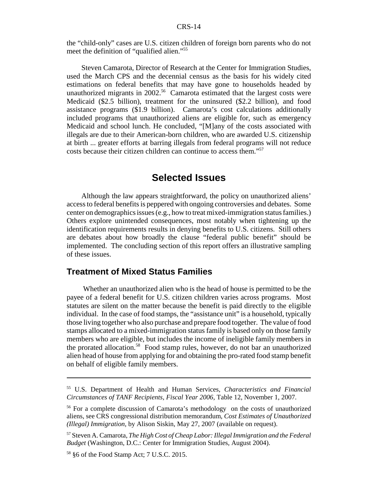the "child-only" cases are U.S. citizen children of foreign born parents who do not meet the definition of "qualified alien."55

Steven Camarota, Director of Research at the Center for Immigration Studies, used the March CPS and the decennial census as the basis for his widely cited estimations on federal benefits that may have gone to households headed by unauthorized migrants in  $2002$ <sup>56</sup> Camarota estimated that the largest costs were Medicaid (\$2.5 billion), treatment for the uninsured (\$2.2 billion), and food assistance programs (\$1.9 billion). Camarota's cost calculations additionally included programs that unauthorized aliens are eligible for, such as emergency Medicaid and school lunch. He concluded, "[M]any of the costs associated with illegals are due to their American-born children, who are awarded U.S. citizenship at birth ... greater efforts at barring illegals from federal programs will not reduce costs because their citizen children can continue to access them."57

## **Selected Issues**

Although the law appears straightforward, the policy on unauthorized aliens' access to federal benefits is peppered with ongoing controversies and debates. Some center on demographics issues (e.g., how to treat mixed-immigration status families.) Others explore unintended consequences, most notably when tightening up the identification requirements results in denying benefits to U.S. citizens. Still others are debates about how broadly the clause "federal public benefit" should be implemented. The concluding section of this report offers an illustrative sampling of these issues.

## **Treatment of Mixed Status Families**

 Whether an unauthorized alien who is the head of house is permitted to be the payee of a federal benefit for U.S. citizen children varies across programs. Most statutes are silent on the matter because the benefit is paid directly to the eligible individual. In the case of food stamps, the "assistance unit" is a household, typically those living together who also purchase and prepare food together. The value of food stamps allocated to a mixed-immigration status family is based only on those family members who are eligible, but includes the income of ineligible family members in the prorated allocation.<sup>58</sup> Food stamp rules, however, do not bar an unauthorized alien head of house from applying for and obtaining the pro-rated food stamp benefit on behalf of eligible family members.

<sup>55</sup> U.S. Department of Health and Human Services, *Characteristics and Financial Circumstances of TANF Recipients, Fiscal Year 2006*, Table 12, November 1, 2007.

<sup>&</sup>lt;sup>56</sup> For a complete discussion of Camarota's methodology on the costs of unauthorized aliens, see CRS congressional distribution memorandum, *Cost Estimates of Unauthorized (Illegal) Immigration*, by Alison Siskin, May 27, 2007 (available on request).

<sup>57</sup> Steven A. Camarota, *The High Cost of Cheap Labor: Illegal Immigration and the Federal Budget* (Washington, D.C.: Center for Immigration Studies, August 2004).

<sup>58 §6</sup> of the Food Stamp Act; 7 U.S.C. 2015.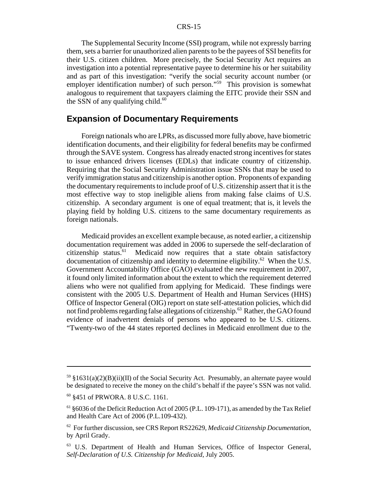#### CRS-15

The Supplemental Security Income (SSI) program, while not expressly barring them, sets a barrier for unauthorized alien parents to be the payees of SSI benefits for their U.S. citizen children. More precisely, the Social Security Act requires an investigation into a potential representative payee to determine his or her suitability and as part of this investigation: "verify the social security account number (or employer identification number) of such person."<sup>59</sup> This provision is somewhat analogous to requirement that taxpayers claiming the EITC provide their SSN and the SSN of any qualifying child. $60$ 

## **Expansion of Documentary Requirements**

Foreign nationals who are LPRs, as discussed more fully above, have biometric identification documents, and their eligibility for federal benefits may be confirmed through the SAVE system. Congress has already enacted strong incentives for states to issue enhanced drivers licenses (EDLs) that indicate country of citizenship. Requiring that the Social Security Administration issue SSNs that may be used to verify immigration status and citizenship is another option. Proponents of expanding the documentary requirements to include proof of U.S. citizenship assert that it is the most effective way to stop ineligible aliens from making false claims of U.S. citizenship. A secondary argument is one of equal treatment; that is, it levels the playing field by holding U.S. citizens to the same documentary requirements as foreign nationals.

Medicaid provides an excellent example because, as noted earlier, a citizenship documentation requirement was added in 2006 to supersede the self-declaration of citizenship status.<sup>61</sup> Medicaid now requires that a state obtain satisfactory documentation of citizenship and identity to determine eligibility.62 When the U.S. Government Accountability Office (GAO) evaluated the new requirement in 2007, it found only limited information about the extent to which the requirement deterred aliens who were not qualified from applying for Medicaid. These findings were consistent with the 2005 U.S. Department of Health and Human Services (HHS) Office of Inspector General (OIG) report on state self-attestation policies, which did not find problems regarding false allegations of citizenship.<sup>63</sup> Rather, the GAO found evidence of inadvertent denials of persons who appeared to be U.S. citizens. "Twenty-two of the 44 states reported declines in Medicaid enrollment due to the

 $59 \text{ }\frac{1}{2}(31(a)(2)(B)(ii)(II))$  of the Social Security Act. Presumably, an alternate payee would be designated to receive the money on the child's behalf if the payee's SSN was not valid.

<sup>60 §451</sup> of PRWORA. 8 U.S.C. 1161.

 $61$  §6036 of the Deficit Reduction Act of 2005 (P.L. 109-171), as amended by the Tax Relief and Health Care Act of 2006 (P.L.109-432).

<sup>62</sup> For further discussion, see CRS Report RS22629, *Medicaid Citizenship Documentation*, by April Grady.

<sup>63</sup> U.S. Department of Health and Human Services, Office of Inspector General, *Self-Declaration of U.S. Citizenship for Medicaid*, July 2005.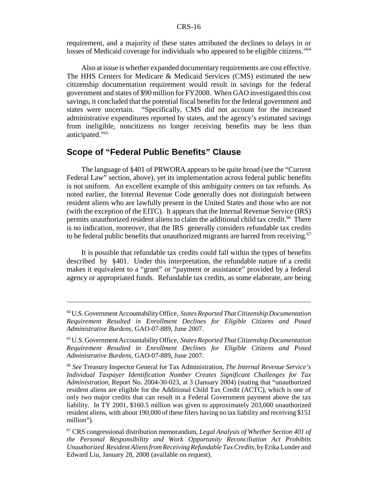requirement, and a majority of these states attributed the declines to delays in or losses of Medicaid coverage for individuals who appeared to be eligible citizens."<sup>64</sup>

Also at issue is whether expanded documentary requirements are cost effective. The HHS Centers for Medicare & Medicaid Services (CMS) estimated the new citizenship documentation requirement would result in savings for the federal government and states of \$90 million for FY2008. When GAO investigated this cost savings, it concluded that the potential fiscal benefits for the federal government and states were uncertain. "Specifically, CMS did not account for the increased administrative expenditures reported by states, and the agency's estimated savings from ineligible, noncitizens no longer receiving benefits may be less than anticipated."65

## **Scope of "Federal Public Benefits" Clause**

The language of §401 of PRWORA appears to be quite broad (see the "Current Federal Law" section, above), yet its implementation across federal public benefits is not uniform. An excellent example of this ambiguity centers on tax refunds. As noted earlier, the Internal Revenue Code generally does not distinguish between resident aliens who are lawfully present in the United States and those who are not (with the exception of the EITC). It appears that the Internal Revenue Service (IRS) permits unauthorized resident aliens to claim the additional child tax credit.66 There is no indication, moreover, that the IRS generally considers refundable tax credits to be federal public benefits that unauthorized migrants are barred from receiving.<sup>67</sup>

It is possible that refundable tax credits could fall within the types of benefits described by §401. Under this interpretation, the refundable nature of a credit makes it equivalent to a "grant" or "payment or assistance" provided by a federal agency or appropriated funds. Refundable tax credits, as some elaborate, are being

<sup>64</sup> U.S. Government Accountability Office, *States Reported That Citizenship Documentation Requirement Resulted in Enrollment Declines for Eligible Citizens and Posed Administrative Burdens*, GAO-07-889, June 2007.

<sup>65</sup> U.S. Government Accountability Office, *States Reported That Citizenship Documentation Requirement Resulted in Enrollment Declines for Eligible Citizens and Posed Administrative Burdens*, GAO-07-889, June 2007.

<sup>66</sup> *See* Treasury Inspector General for Tax Administration, *The Internal Revenue Service's Individual Taxpayer Identification Number Creates Significant Challenges for Tax Administration*, Report No. 2004-30-023, at 3 (January 2004) (stating that "unauthorized resident aliens are eligible for the Additional Child Tax Credit (ACTC), which is one of only two major credits that can result in a Federal Government payment above the tax liability. In TY 2001, \$160.5 million was given to approximately 203,000 unauthorized resident aliens, with about 190,000 of these filers having no tax liability and receiving \$151 million").

<sup>67</sup> CRS congressional distribution memorandum, *Legal Analysis of Whether Section 401 of the Personal Responsibility and Work Opportunity Reconciliation Act Prohibits Unauthorized Resident Aliens from Receiving Refundable Tax Credits*, by Erika Lunder and Edward Liu, January 28, 2008 (available on request).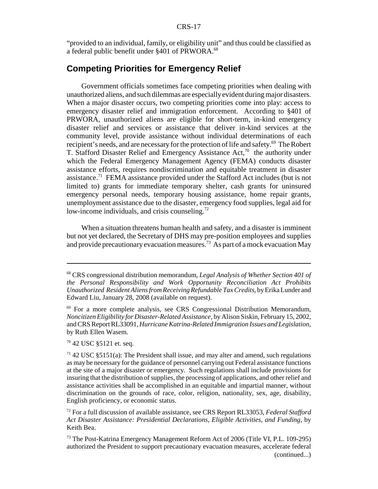"provided to an individual, family, or eligibility unit" and thus could be classified as a federal public benefit under §401 of PRWORA.<sup>68</sup>

## **Competing Priorities for Emergency Relief**

Government officials sometimes face competing priorities when dealing with unauthorized aliens, and such dilemmas are especially evident during major disasters. When a major disaster occurs, two competing priorities come into play: access to emergency disaster relief and immigration enforcement. According to §401 of PRWORA, unauthorized aliens are eligible for short-term, in-kind emergency disaster relief and services or assistance that deliver in-kind services at the community level, provide assistance without individual determinations of each recipient's needs, and are necessary for the protection of life and safety.<sup>69</sup> The Robert T. Stafford Disaster Relief and Emergency Assistance Act, $70$  the authority under which the Federal Emergency Management Agency (FEMA) conducts disaster assistance efforts, requires nondiscrimination and equitable treatment in disaster assistance.71 FEMA assistance provided under the Stafford Act includes (but is not limited to) grants for immediate temporary shelter, cash grants for uninsured emergency personal needs, temporary housing assistance, home repair grants, unemployment assistance due to the disaster, emergency food supplies, legal aid for low-income individuals, and crisis counseling.<sup>72</sup>

When a situation threatens human health and safety, and a disaster is imminent but not yet declared, the Secretary of DHS may pre-position employees and supplies and provide precautionary evacuation measures.73 As part of a mock evacuation May

70 42 USC §5121 et. seq.

<sup>68</sup> CRS congressional distribution memorandum, *Legal Analysis of Whether Section 401 of the Personal Responsibility and Work Opportunity Reconciliation Act Prohibits Unauthorized Resident Aliens from Receiving Refundable Tax Credits*, by Erika Lunder and Edward Liu, January 28, 2008 (available on request).

<sup>69</sup> For a more complete analysis, see CRS Congressional Distribution Memorandum, *Noncitizen Eligibility for Disaster-Related Assistance*, by Alison Siskin, February 15, 2002, and CRS Report RL33091, *Hurricane Katrina-Related Immigration Issues and Legislation*, by Ruth Ellen Wasem.

 $71$  42 USC §5151(a): The President shall issue, and may alter and amend, such regulations as may be necessary for the guidance of personnel carrying out Federal assistance functions at the site of a major disaster or emergency. Such regulations shall include provisions for insuring that the distribution of supplies, the processing of applications, and other relief and assistance activities shall be accomplished in an equitable and impartial manner, without discrimination on the grounds of race, color, religion, nationality, sex, age, disability, English proficiency, or economic status.

<sup>72</sup> For a full discussion of available assistance, see CRS Report RL33053, *Federal Stafford Act Disaster Assistance: Presidential Declarations, Eligible Activities, and Funding*, by Keith Bea.

<sup>&</sup>lt;sup>73</sup> The Post-Katrina Emergency Management Reform Act of 2006 (Title VI, P.L. 109-295) authorized the President to support precautionary evacuation measures, accelerate federal (continued...)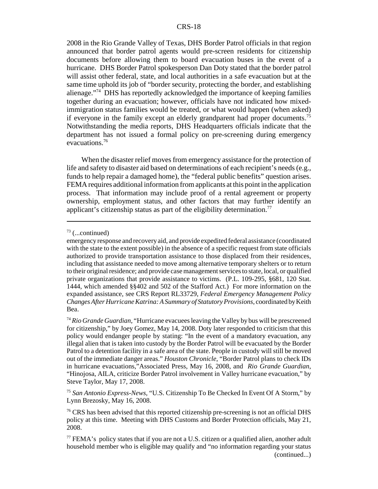#### CRS-18

2008 in the Rio Grande Valley of Texas, DHS Border Patrol officials in that region announced that border patrol agents would pre-screen residents for citizenship documents before allowing them to board evacuation buses in the event of a hurricane. DHS Border Patrol spokesperson Dan Doty stated that the border patrol will assist other federal, state, and local authorities in a safe evacuation but at the same time uphold its job of "border security, protecting the border, and establishing alienage."<sup>74</sup> DHS has reportedly acknowledged the importance of keeping families together during an evacuation; however, officials have not indicated how mixedimmigration status families would be treated, or what would happen (when asked) if everyone in the family except an elderly grandparent had proper documents.<sup>75</sup> Notwithstanding the media reports, DHS Headquarters officials indicate that the department has not issued a formal policy on pre-screening during emergency evacuations.76

When the disaster relief moves from emergency assistance for the protection of life and safety to disaster aid based on determinations of each recipient's needs (e.g., funds to help repair a damaged home), the "federal public benefits" question arises. FEMA requires additional information from applicants at this point in the application process. That information may include proof of a rental agreement or property ownership, employment status, and other factors that may further identify an applicant's citizenship status as part of the eligibility determination.<sup>77</sup>

 $73$  (...continued)

emergency response and recovery aid, and provide expedited federal assistance (coordinated with the state to the extent possible) in the absence of a specific request from state officials authorized to provide transportation assistance to those displaced from their residences, including that assistance needed to move among alternative temporary shelters or to return to their original residence; and provide case management services to state, local, or qualified private organizations that provide assistance to victims. (P.L. 109-295, §681, 120 Stat. 1444, which amended §§402 and 502 of the Stafford Act.) For more information on the expanded assistance, see CRS Report RL33729, *Federal Emergency Management Policy Changes After Hurricane Katrina: A Summary of Statutory Provisions*, coordinated by Keith Bea.

<sup>74</sup> *Rio Grande Guardian*, "Hurricane evacuees leaving the Valley by bus will be prescreened for citizenship," by Joey Gomez, May 14, 2008. Doty later responded to criticism that this policy would endanger people by stating: "In the event of a mandatory evacuation, any illegal alien that is taken into custody by the Border Patrol will be evacuated by the Border Patrol to a detention facility in a safe area of the state. People in custody will still be moved out of the immediate danger areas." *Houston Chronicle*, "Border Patrol plans to check IDs in hurricane evacuations,"Associated Press, May 16, 2008, and *Rio Grande Guardian*, "Hinojosa, AILA, criticize Border Patrol involvement in Valley hurricane evacuation," by Steve Taylor, May 17, 2008.

<sup>75</sup> *San Antonio Express-News,* "U.S. Citizenship To Be Checked In Event Of A Storm," by Lynn Brezosky, May 16, 2008.

 $76$  CRS has been advised that this reported citizenship pre-screening is not an official DHS policy at this time. Meeting with DHS Customs and Border Protection officials, May 21, 2008.

 $^{77}$  FEMA's policy states that if you are not a U.S. citizen or a qualified alien, another adult household member who is eligible may qualify and "no information regarding your status (continued...)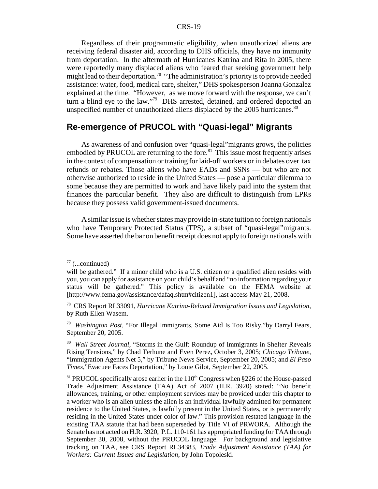#### CRS-19

Regardless of their programmatic eligibility, when unauthorized aliens are receiving federal disaster aid, according to DHS officials, they have no immunity from deportation. In the aftermath of Hurricanes Katrina and Rita in 2005, there were reportedly many displaced aliens who feared that seeking government help might lead to their deportation.<sup>78</sup> "The administration's priority is to provide needed assistance: water, food, medical care, shelter," DHS spokesperson Joanna Gonzalez explained at the time. "However, as we move forward with the response, we can't turn a blind eye to the law."<sup>79</sup> DHS arrested, detained, and ordered deported an unspecified number of unauthorized aliens displaced by the 2005 hurricanes.<sup>80</sup>

## **Re-emergence of PRUCOL with "Quasi-legal" Migrants**

As awareness of and confusion over "quasi-legal"migrants grows, the policies embodied by PRUCOL are returning to the fore.<sup>81</sup> This issue most frequently arises in the context of compensation or training for laid-off workers or in debates over tax refunds or rebates. Those aliens who have EADs and SSNs — but who are not otherwise authorized to reside in the United States — pose a particular dilemma to some because they are permitted to work and have likely paid into the system that finances the particular benefit. They also are difficult to distinguish from LPRs because they possess valid government-issued documents.

A similar issue is whether states may provide in-state tuition to foreign nationals who have Temporary Protected Status (TPS), a subset of "quasi-legal"migrants. Some have asserted the bar on benefit receipt does not apply to foreign nationals with

 $77$  (...continued)

will be gathered." If a minor child who is a U.S. citizen or a qualified alien resides with you, you can apply for assistance on your child's behalf and "no information regarding your status will be gathered." This policy is available on the FEMA website at [http://www.fema.gov/assistance/dafaq.shtm#citizen1], last access May 21, 2008.

<sup>78</sup> CRS Report RL33091, *Hurricane Katrina-Related Immigration Issues and Legislation*, by Ruth Ellen Wasem.

<sup>79</sup> *Washington Post*, "For Illegal Immigrants, Some Aid Is Too Risky,"by Darryl Fears, September 20, 2005.

<sup>80</sup> *Wall Street Journal*, "Storms in the Gulf: Roundup of Immigrants in Shelter Reveals Rising Tensions," by Chad Terhune and Even Perez, October 3, 2005; *Chicago Tribune,* "Immigration Agents Net 5," by Tribune News Service, September 20, 2005; and *El Paso Times*,"Evacuee Faces Deportation," by Louie Gilot, September 22, 2005.

 $81$  PRUCOL specifically arose earlier in the  $110<sup>th</sup>$  Congress when §226 of the House-passed Trade Adjustment Assistance (TAA) Act of 2007 (H.R. 3920) stated: "No benefit allowances, training, or other employment services may be provided under this chapter to a worker who is an alien unless the alien is an individual lawfully admitted for permanent residence to the United States, is lawfully present in the United States, or is permanently residing in the United States under color of law." This provision restated language in the existing TAA statute that had been superseded by Title VI of PRWORA. Although the Senate has not acted on H.R. 3920, P.L. 110-161 has appropriated funding for TAA through September 30, 2008, without the PRUCOL language. For background and legislative tracking on TAA, see CRS Report RL34383, *Trade Adjustment Assistance (TAA) for Workers: Current Issues and Legislation*, by John Topoleski.